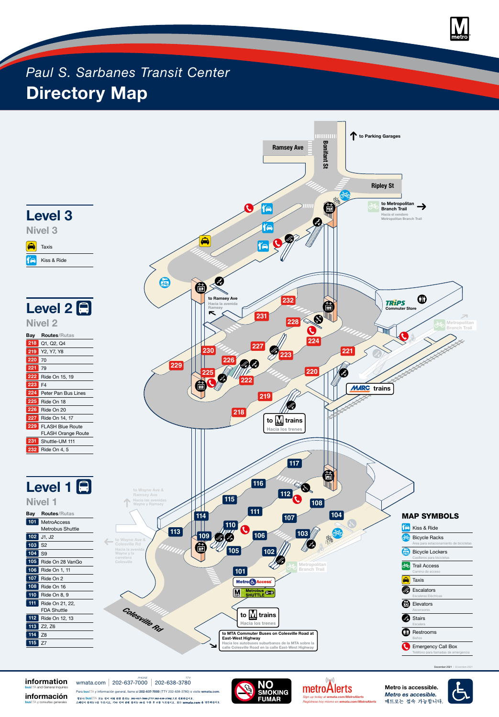**Metro is accessible.**





## **information bus**ETA and General Inquiries

**información**

**bus**ETA y consultas generales

Para **bus**ETA y información general, llame al **202-637-7000** (TTY 202-638-3780) o visite **wmata.com**.

정보나 busETA 또는 언어 지원 관련 문의는 202-637-7000 (TTY 202-638-3780)으로 전화하십시오. 스페인어 문의는 1을 누르시고, 기타 언어 관련 문의는 88을 누른 후 5를 누르십시오. 또는 wmata.com 을 방문하십시오.



wmata.com 202-637-7000 202-638-3780 *PHONE TTY*



# *Paul S. Sarbanes Transit Center* **Directory Map**



December 2021 | Diciembre 2021